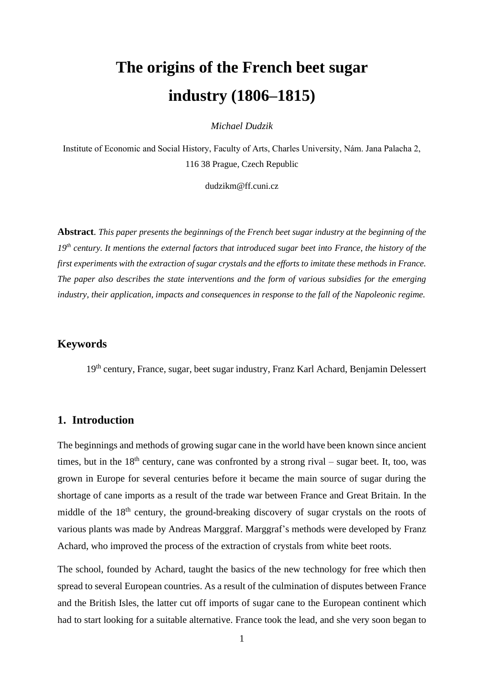# **The origins of the French beet sugar industry (1806–1815)**

*Michael Dudzik*

Institute of Economic and Social History, Faculty of Arts, Charles University, Nám. Jana Palacha 2, 116 38 Prague, Czech Republic

[dudzikm@ff.cuni.cz](mailto:dudzikm@ff.cuni.cz)

**Abstract**. *This paper presents the beginnings of the French beet sugar industry at the beginning of the 19th century. It mentions the external factors that introduced sugar beet into France, the history of the first experiments with the extraction of sugar crystals and the efforts to imitate these methods in France. The paper also describes the state interventions and the form of various subsidies for the emerging industry, their application, impacts and consequences in response to the fall of the Napoleonic regime.*

# **Keywords**

19th century, France, sugar, beet sugar industry, Franz Karl Achard, Benjamin Delessert

#### **1. Introduction**

The beginnings and methods of growing sugar cane in the world have been known since ancient times, but in the  $18<sup>th</sup>$  century, cane was confronted by a strong rival – sugar beet. It, too, was grown in Europe for several centuries before it became the main source of sugar during the shortage of cane imports as a result of the trade war between France and Great Britain. In the middle of the 18<sup>th</sup> century, the ground-breaking discovery of sugar crystals on the roots of various plants was made by Andreas Marggraf. Marggraf's methods were developed by Franz Achard, who improved the process of the extraction of crystals from white beet roots.

The school, founded by Achard, taught the basics of the new technology for free which then spread to several European countries. As a result of the culmination of disputes between France and the British Isles, the latter cut off imports of sugar cane to the European continent which had to start looking for a suitable alternative. France took the lead, and she very soon began to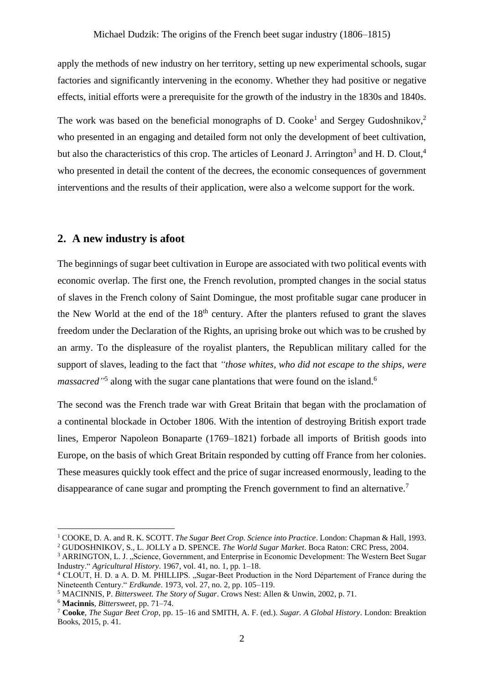apply the methods of new industry on her territory, setting up new experimental schools, sugar factories and significantly intervening in the economy. Whether they had positive or negative effects, initial efforts were a prerequisite for the growth of the industry in the 1830s and 1840s.

The work was based on the beneficial monographs of D. Cooke<sup>1</sup> and Sergey Gudoshnikov,<sup>2</sup> who presented in an engaging and detailed form not only the development of beet cultivation, but also the characteristics of this crop. The articles of Leonard J. Arrington<sup>3</sup> and H. D. Clout,<sup>4</sup> who presented in detail the content of the decrees, the economic consequences of government interventions and the results of their application, were also a welcome support for the work.

### **2. A new industry is afoot**

The beginnings of sugar beet cultivation in Europe are associated with two political events with economic overlap. The first one, the French revolution, prompted changes in the social status of slaves in the French colony of Saint Domingue, the most profitable sugar cane producer in the New World at the end of the  $18<sup>th</sup>$  century. After the planters refused to grant the slaves freedom under the Declaration of the Rights, an uprising broke out which was to be crushed by an army. To the displeasure of the royalist planters, the Republican military called for the support of slaves, leading to the fact that *"those whites, who did not escape to the ships, were massacred*<sup>15</sup> along with the sugar cane plantations that were found on the island.<sup>6</sup>

The second was the French trade war with Great Britain that began with the proclamation of a continental blockade in October 1806. With the intention of destroying British export trade lines, Emperor Napoleon Bonaparte (1769–1821) forbade all imports of British goods into Europe, on the basis of which Great Britain responded by cutting off France from her colonies. These measures quickly took effect and the price of sugar increased enormously, leading to the disappearance of cane sugar and prompting the French government to find an alternative.<sup>7</sup>

<sup>1</sup> COOKE, D. A. and R. K. SCOTT. *The Sugar Beet Crop. Science into Practice*. London: Chapman & Hall, 1993. <sup>2</sup> GUDOSHNIKOV, S., L. JOLLY a D. SPENCE. *The World Sugar Market*. Boca Raton: CRC Press, 2004.

<sup>&</sup>lt;sup>3</sup> ARRINGTON, L. J., "Science, Government, and Enterprise in Economic Development: The Western Beet Sugar Industry." *Agricultural History*. 1967, vol. 41, no. 1, pp. 1–18.

<sup>&</sup>lt;sup>4</sup> CLOUT, H. D. a A. D. M. PHILLIPS. "Sugar-Beet Production in the Nord Département of France during the Nineteenth Century." *Erdkunde*. 1973, vol. 27, no. 2, pp. 105–119.

<sup>5</sup> MACINNIS, P. *Bittersweet. The Story of Sugar*. Crows Nest: Allen & Unwin, 2002, p. 71.

<sup>6</sup> **Macinnis**, *Bittersweet*, pp. 71–74.

<sup>7</sup> **Cooke**, *The Sugar Beet Crop*, pp. 15–16 and SMITH, A. F. (ed.). *Sugar. A Global History*. London: Breaktion Books, 2015, p. 41.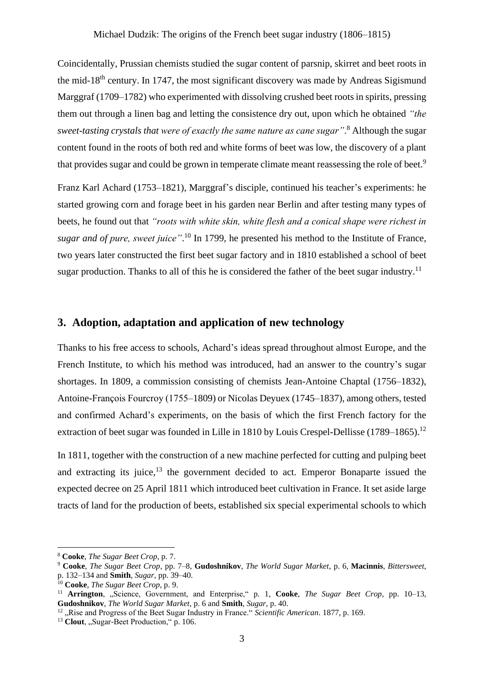Coincidentally, Prussian chemists studied the sugar content of parsnip, skirret and beet roots in the mid-18<sup>th</sup> century. In 1747, the most significant discovery was made by Andreas Sigismund Marggraf (1709–1782) who experimented with dissolving crushed beet roots in spirits, pressing them out through a linen bag and letting the consistence dry out, upon which he obtained *"the sweet-tasting crystals that were of exactly the same nature as cane sugar"*. <sup>8</sup> Although the sugar content found in the roots of both red and white forms of beet was low, the discovery of a plant that provides sugar and could be grown in temperate climate meant reassessing the role of beet.<sup>9</sup>

Franz Karl Achard (1753–1821), Marggraf's disciple, continued his teacher's experiments: he started growing corn and forage beet in his garden near Berlin and after testing many types of beets, he found out that *"roots with white skin, white flesh and a conical shape were richest in*  sugar and of pure, sweet juice".<sup>10</sup> In 1799, he presented his method to the Institute of France, two years later constructed the first beet sugar factory and in 1810 established a school of beet sugar production. Thanks to all of this he is considered the father of the beet sugar industry.<sup>11</sup>

# **3. Adoption, adaptation and application of new technology**

Thanks to his free access to schools, Achard's ideas spread throughout almost Europe, and the French Institute, to which his method was introduced, had an answer to the country's sugar shortages. In 1809, a commission consisting of chemists Jean-Antoine Chaptal (1756–1832), Antoine-François Fourcroy (1755–1809) or Nicolas Deyuex (1745–1837), among others, tested and confirmed Achard's experiments, on the basis of which the first French factory for the extraction of beet sugar was founded in Lille in 1810 by Louis Crespel-Dellisse  $(1789-1865)$ .<sup>12</sup>

In 1811, together with the construction of a new machine perfected for cutting and pulping beet and extracting its juice, $13$  the government decided to act. Emperor Bonaparte issued the expected decree on 25 April 1811 which introduced beet cultivation in France. It set aside large tracts of land for the production of beets, established six special experimental schools to which

<sup>8</sup> **Cooke**, *The Sugar Beet Crop*, p. 7.

<sup>9</sup> **Cooke**, *The Sugar Beet Crop*, pp. 7–8, **Gudoshnikov**, *The World Sugar Market*, p. 6, **Macinnis**, *Bittersweet*, p. 132–134 and **Smith**, *Sugar*, pp. 39–40.

<sup>10</sup> **Cooke**, *The Sugar Beet Crop*, p. 9.

<sup>&</sup>lt;sup>11</sup> **Arrington**, "Science, Government, and Enterprise," p. 1, Cooke, *The Sugar Beet Crop*, pp. 10–13, **Gudoshnikov**, *The World Sugar Market*, p. 6 and **Smith**, *Sugar*, p. 40.

<sup>&</sup>lt;sup>12</sup> "Rise and Progress of the Beet Sugar Industry in France." *Scientific American*. 1877, p. 169.

<sup>&</sup>lt;sup>13</sup> Clout, "Sugar-Beet Production," p. 106.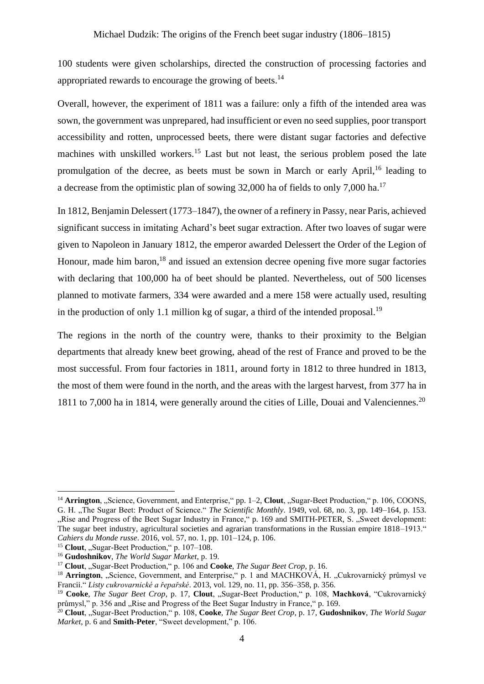100 students were given scholarships, directed the construction of processing factories and appropriated rewards to encourage the growing of beets.<sup>14</sup>

Overall, however, the experiment of 1811 was a failure: only a fifth of the intended area was sown, the government was unprepared, had insufficient or even no seed supplies, poor transport accessibility and rotten, unprocessed beets, there were distant sugar factories and defective machines with unskilled workers.<sup>15</sup> Last but not least, the serious problem posed the late promulgation of the decree, as beets must be sown in March or early April,<sup>16</sup> leading to a decrease from the optimistic plan of sowing  $32,000$  ha of fields to only 7,000 ha.<sup>17</sup>

In 1812, Benjamin Delessert (1773–1847), the owner of a refinery in Passy, near Paris, achieved significant success in imitating Achard's beet sugar extraction. After two loaves of sugar were given to Napoleon in January 1812, the emperor awarded Delessert the Order of the Legion of Honour, made him baron,<sup>18</sup> and issued an extension decree opening five more sugar factories with declaring that 100,000 ha of beet should be planted. Nevertheless, out of 500 licenses planned to motivate farmers, 334 were awarded and a mere 158 were actually used, resulting in the production of only 1.1 million kg of sugar, a third of the intended proposal.<sup>19</sup>

The regions in the north of the country were, thanks to their proximity to the Belgian departments that already knew beet growing, ahead of the rest of France and proved to be the most successful. From four factories in 1811, around forty in 1812 to three hundred in 1813, the most of them were found in the north, and the areas with the largest harvest, from 377 ha in 1811 to 7,000 ha in 1814, were generally around the cities of Lille, Douai and Valenciennes. 20

<sup>&</sup>lt;sup>14</sup> **Arrington**, "Science, Government, and Enterprise," pp. 1–2, **Clout**, "Sugar-Beet Production," p. 106, COONS, G. H. "The Sugar Beet: Product of Science." *The Scientific Monthly*. 1949, vol. 68, no. 3, pp. 149–164, p. 153. "Rise and Progress of the Beet Sugar Industry in France," p. 169 and SMITH-PETER, S. "Sweet development: The sugar beet industry, agricultural societies and agrarian transformations in the Russian empire 1818–1913." *Cahiers du Monde russe*. 2016, vol. 57, no. 1, pp. 101–124, p. 106.

<sup>&</sup>lt;sup>15</sup> Clout, "Sugar-Beet Production," p. 107–108.

<sup>16</sup> **Gudoshnikov**, *The World Sugar Market*, p. 19.

<sup>&</sup>lt;sup>17</sup> Clout, "Sugar-Beet Production," p. 106 and Cooke, *The Sugar Beet Crop*, p. 16.

<sup>&</sup>lt;sup>18</sup> Arrington, "Science, Government, and Enterprise," p. 1 and MACHKOVÁ, H. "Cukrovarnický průmysl ve Francii." *Listy cukrovarnické a řepařské*. 2013, vol. 129, no. 11, pp. 356–358, p. 356.

<sup>&</sup>lt;sup>19</sup> Cooke, *The Sugar Beet Crop*, p. 17, Clout, "Sugar-Beet Production," p. 108, Machková, "Cukrovarnický průmysl," p. 356 and "Rise and Progress of the Beet Sugar Industry in France," p. 169.

<sup>&</sup>lt;sup>20</sup> **Clout**, "Sugar-Beet Production," p. 108, **Cooke**, *The Sugar Beet Crop*, p. 17, **Gudoshnikov**, *The World Sugar Market*, p. 6 and **Smith-Peter**, "Sweet development," p. 106.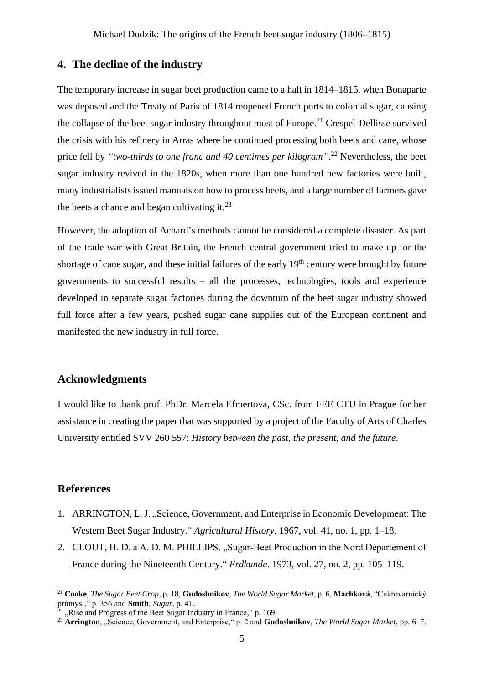# **4. The decline of the industry**

The temporary increase in sugar beet production came to a halt in 1814–1815, when Bonaparte was deposed and the Treaty of Paris of 1814 reopened French ports to colonial sugar, causing the collapse of the beet sugar industry throughout most of Europe.<sup>21</sup> Crespel-Dellisse survived the crisis with his refinery in Arras where he continued processing both beets and cane, whose price fell by *"two-thirds to one franc and 40 centimes per kilogram"*. <sup>22</sup> Nevertheless, the beet sugar industry revived in the 1820s, when more than one hundred new factories were built, many industrialists issued manuals on how to process beets, and a large number of farmers gave the beets a chance and began cultivating it. $^{23}$ 

However, the adoption of Achard's methods cannot be considered a complete disaster. As part of the trade war with Great Britain, the French central government tried to make up for the shortage of cane sugar, and these initial failures of the early  $19<sup>th</sup>$  century were brought by future governments to successful results – all the processes, technologies, tools and experience developed in separate sugar factories during the downturn of the beet sugar industry showed full force after a few years, pushed sugar cane supplies out of the European continent and manifested the new industry in full force.

# **Acknowledgments**

I would like to thank prof. PhDr. Marcela Efmertova, CSc. from FEE CTU in Prague for her assistance in creating the paper that was supported by a project of the Faculty of Arts of Charles University entitled SVV 260 557: *History between the past, the present, and the future*.

### **References**

- 1. ARRINGTON, L. J. "Science, Government, and Enterprise in Economic Development: The Western Beet Sugar Industry." *Agricultural History*. 1967, vol. 41, no. 1, pp. 1–18.
- 2. CLOUT, H. D. a A. D. M. PHILLIPS. "Sugar-Beet Production in the Nord Département of France during the Nineteenth Century." *Erdkunde*. 1973, vol. 27, no. 2, pp. 105–119.

<sup>21</sup> **Cooke**, *The Sugar Beet Crop*, p. 18, **Gudoshnikov**, *The World Sugar Market*, p. 6, **Machková**, "Cukrovarnický průmysl," p. 356 and **Smith**, *Sugar*, p. 41.

 $\frac{1}{22}$  . Rise and Progress of the Beet Sugar Industry in France,  $\degree$  p. 169.

<sup>&</sup>lt;sup>23</sup> Arrington, "Science, Government, and Enterprise," p. 2 and Gudoshnikov, *The World Sugar Market*, pp. 6–7.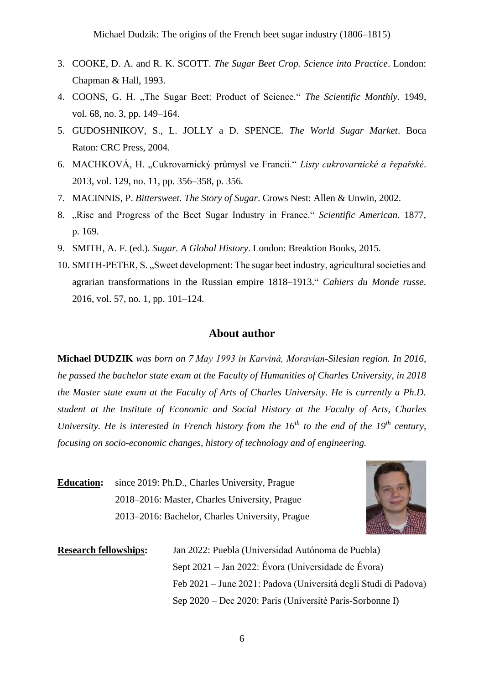Michael Dudzik: The origins of the French beet sugar industry (1806–1815)

- 3. COOKE, D. A. and R. K. SCOTT. *The Sugar Beet Crop. Science into Practice*. London: Chapman & Hall, 1993.
- 4. COONS, G. H. "The Sugar Beet: Product of Science." *The Scientific Monthly*. 1949, vol. 68, no. 3, pp. 149–164.
- 5. GUDOSHNIKOV, S., L. JOLLY a D. SPENCE. *The World Sugar Market*. Boca Raton: CRC Press, 2004.
- 6. MACHKOVÁ, H. "Cukrovarnický průmysl ve Francii." *Listy cukrovarnické a řepařské*. 2013, vol. 129, no. 11, pp. 356–358, p. 356.
- 7. MACINNIS, P. *Bittersweet. The Story of Sugar*. Crows Nest: Allen & Unwin, 2002.
- 8. "Rise and Progress of the Beet Sugar Industry in France." *Scientific American*. 1877, p. 169.
- 9. SMITH, A. F. (ed.). *Sugar. A Global History*. London: Breaktion Books, 2015.
- 10. SMITH-PETER, S. "Sweet development: The sugar beet industry, agricultural societies and agrarian transformations in the Russian empire 1818–1913." *Cahiers du Monde russe*. 2016, vol. 57, no. 1, pp. 101–124.

#### **About author**

**Michael DUDZIK** *was born on 7 May 1993 in Karviná, Moravian-Silesian region. In 2016, he passed the bachelor state exam at the Faculty of Humanities of Charles University, in 2018 the Master state exam at the Faculty of Arts of Charles University. He is currently a Ph.D. student at the Institute of Economic and Social History at the Faculty of Arts, Charles University. He is interested in French history from the 16th to the end of the 19th century, focusing on socio-economic changes, history of technology and of engineering.*

**Education:** since 2019: Ph.D., Charles University, Prague 2018–2016: Master, Charles University, Prague 2013–2016: Bachelor, Charles University, Prague



**Research fellowships:** Jan 2022: Puebla (Universidad Autónoma de Puebla) Sept 2021 – Jan 2022: Évora (Universidade de Évora) Feb 2021 – June 2021: Padova (Università degli Studi di Padova) Sep 2020 – Dec 2020: Paris (Université Paris-Sorbonne I)